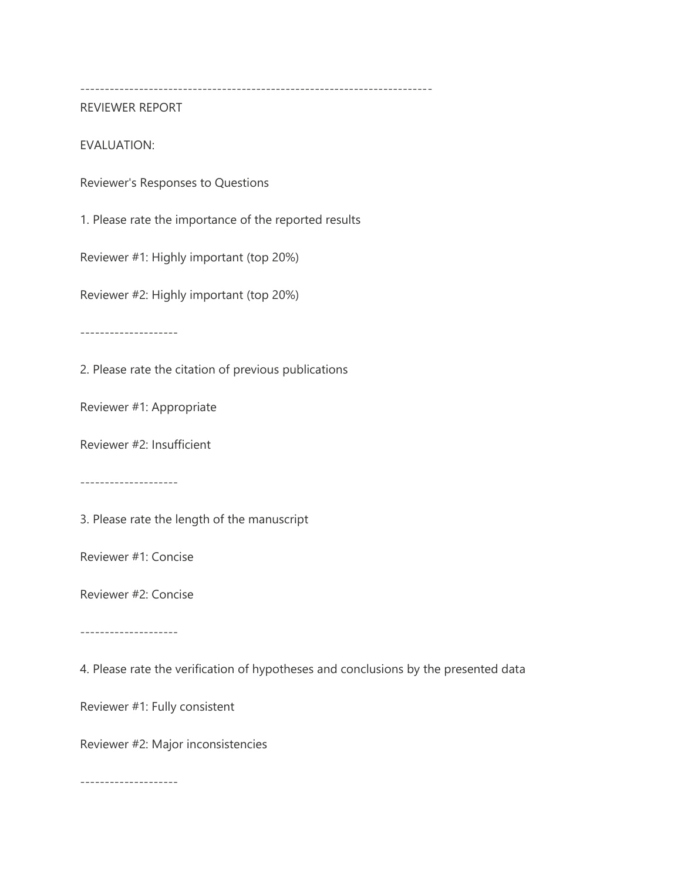------------------------------------------------------------------------

REVIEWER REPORT

EVALUATION:

Reviewer's Responses to Questions

1. Please rate the importance of the reported results

Reviewer #1: Highly important (top 20%)

Reviewer #2: Highly important (top 20%)

--------------------

2. Please rate the citation of previous publications

Reviewer #1: Appropriate

Reviewer #2: Insufficient

--------------------

3. Please rate the length of the manuscript

Reviewer #1: Concise

Reviewer #2: Concise

--------------------

4. Please rate the verification of hypotheses and conclusions by the presented data

Reviewer #1: Fully consistent

Reviewer #2: Major inconsistencies

--------------------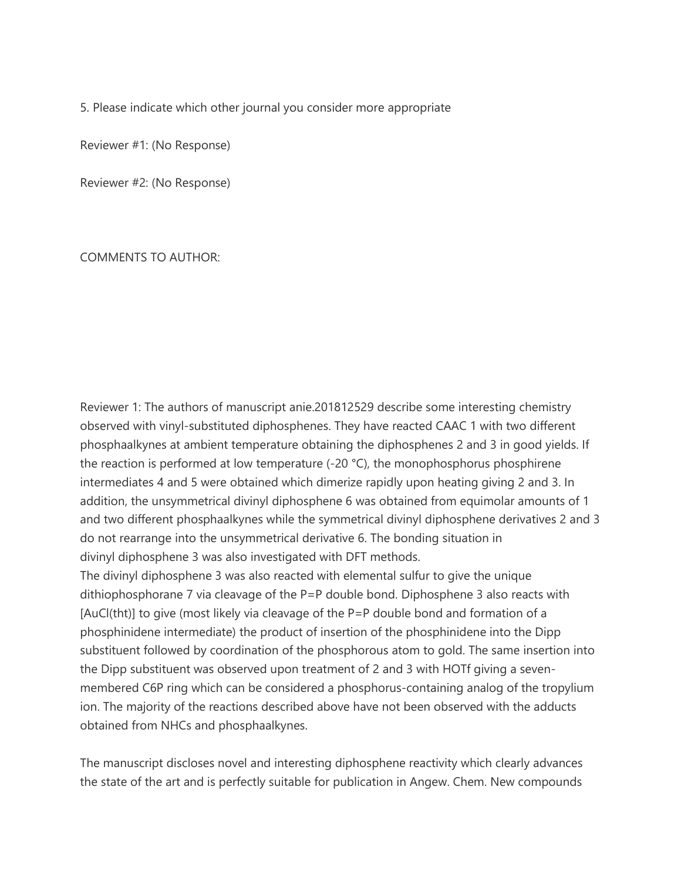5. Please indicate which other journal you consider more appropriate

Reviewer #1: (No Response)

Reviewer #2: (No Response)

COMMENTS TO AUTHOR:

Reviewer 1: The authors of manuscript anie.201812529 describe some interesting chemistry observed with vinyl-substituted diphosphenes. They have reacted CAAC 1 with two different phosphaalkynes at ambient temperature obtaining the diphosphenes 2 and 3 in good yields. If the reaction is performed at low temperature (-20 °C), the monophosphorus phosphirene intermediates 4 and 5 were obtained which dimerize rapidly upon heating giving 2 and 3. In addition, the unsymmetrical divinyl diphosphene 6 was obtained from equimolar amounts of 1 and two different phosphaalkynes while the symmetrical divinyl diphosphene derivatives 2 and 3 do not rearrange into the unsymmetrical derivative 6. The bonding situation in divinyl diphosphene 3 was also investigated with DFT methods.

The divinyl diphosphene 3 was also reacted with elemental sulfur to give the unique dithiophosphorane 7 via cleavage of the P=P double bond. Diphosphene 3 also reacts with [AuCl(tht)] to give (most likely via cleavage of the P=P double bond and formation of a phosphinidene intermediate) the product of insertion of the phosphinidene into the Dipp substituent followed by coordination of the phosphorous atom to gold. The same insertion into the Dipp substituent was observed upon treatment of 2 and 3 with HOTf giving a sevenmembered C6P ring which can be considered a phosphorus-containing analog of the tropylium ion. The majority of the reactions described above have not been observed with the adducts obtained from NHCs and phosphaalkynes.

The manuscript discloses novel and interesting diphosphene reactivity which clearly advances the state of the art and is perfectly suitable for publication in Angew. Chem. New compounds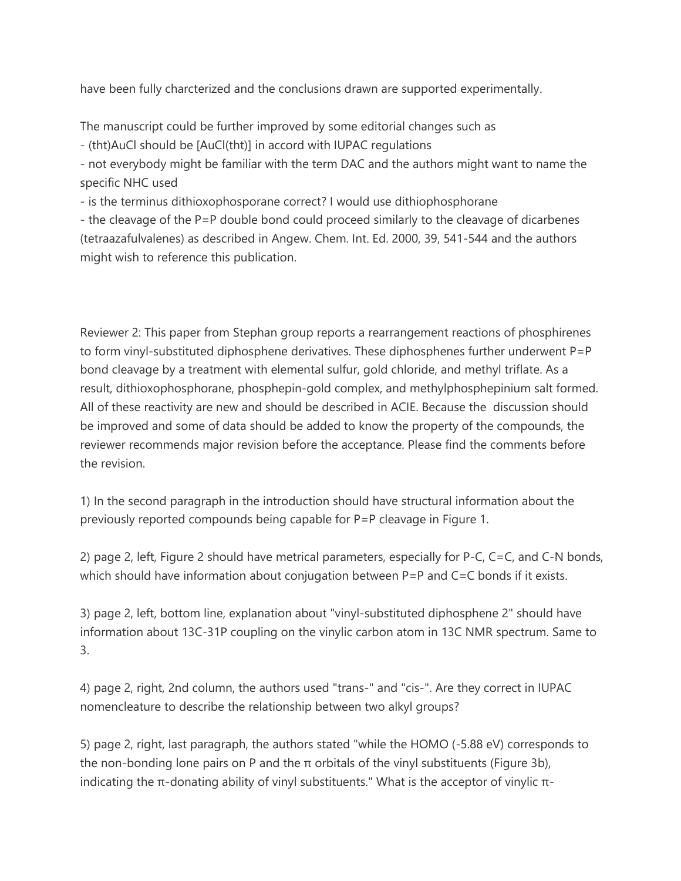have been fully charcterized and the conclusions drawn are supported experimentally.

The manuscript could be further improved by some editorial changes such as

- (tht)AuCl should be [AuCl(tht)] in accord with IUPAC regulations

- not everybody might be familiar with the term DAC and the authors might want to name the specific NHC used

- is the terminus dithioxophosporane correct? I would use dithiophosphorane

- the cleavage of the P=P double bond could proceed similarly to the cleavage of dicarbenes (tetraazafulvalenes) as described in Angew. Chem. Int. Ed. 2000, 39, 541-544 and the authors might wish to reference this publication.

Reviewer 2: This paper from Stephan group reports a rearrangement reactions of phosphirenes to form vinyl-substituted diphosphene derivatives. These diphosphenes further underwent P=P bond cleavage by a treatment with elemental sulfur, gold chloride, and methyl triflate. As a result, dithioxophosphorane, phosphepin-gold complex, and methylphosphepinium salt formed. All of these reactivity are new and should be described in ACIE. Because the discussion should be improved and some of data should be added to know the property of the compounds, the reviewer recommends major revision before the acceptance. Please find the comments before the revision.

1) In the second paragraph in the introduction should have structural information about the previously reported compounds being capable for P=P cleavage in Figure 1.

2) page 2, left, Figure 2 should have metrical parameters, especially for P-C, C=C, and C-N bonds, which should have information about conjugation between P=P and C=C bonds if it exists.

3) page 2, left, bottom line, explanation about "vinyl-substituted diphosphene 2" should have information about 13C-31P coupling on the vinylic carbon atom in 13C NMR spectrum. Same to 3.

4) page 2, right, 2nd column, the authors used "trans-" and "cis-". Are they correct in IUPAC nomencleature to describe the relationship between two alkyl groups?

5) page 2, right, last paragraph, the authors stated "while the HOMO (-5.88 eV) corresponds to the non-bonding lone pairs on P and the π orbitals of the vinyl substituents (Figure 3b), indicating the π-donating ability of vinyl substituents." What is the acceptor of vinylic π